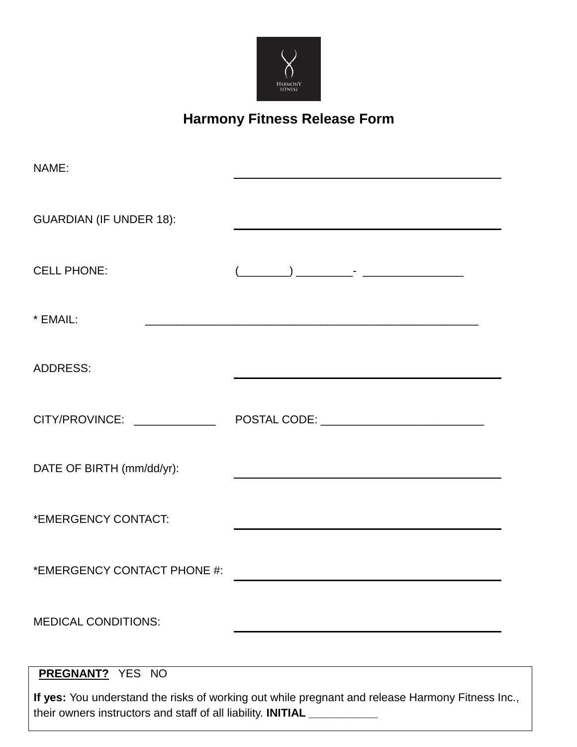

## **Harmony Fitness Release Form**

| NAME:                                                                                                                                                            |  |  |  |
|------------------------------------------------------------------------------------------------------------------------------------------------------------------|--|--|--|
| <b>GUARDIAN (IF UNDER 18):</b>                                                                                                                                   |  |  |  |
| <b>CELL PHONE:</b>                                                                                                                                               |  |  |  |
| * EMAIL:                                                                                                                                                         |  |  |  |
| <b>ADDRESS:</b>                                                                                                                                                  |  |  |  |
| CITY/PROVINCE: ____________                                                                                                                                      |  |  |  |
| DATE OF BIRTH (mm/dd/yr):                                                                                                                                        |  |  |  |
| *EMERGENCY CONTACT:                                                                                                                                              |  |  |  |
| *EMERGENCY CONTACT PHONE #:                                                                                                                                      |  |  |  |
| <b>MEDICAL CONDITIONS:</b>                                                                                                                                       |  |  |  |
| PREGNANT? YES NO                                                                                                                                                 |  |  |  |
| If yes: You understand the risks of working out while pregnant and release Harmony Fitness Inc.,<br>their owners instructors and staff of all liability. INITIAL |  |  |  |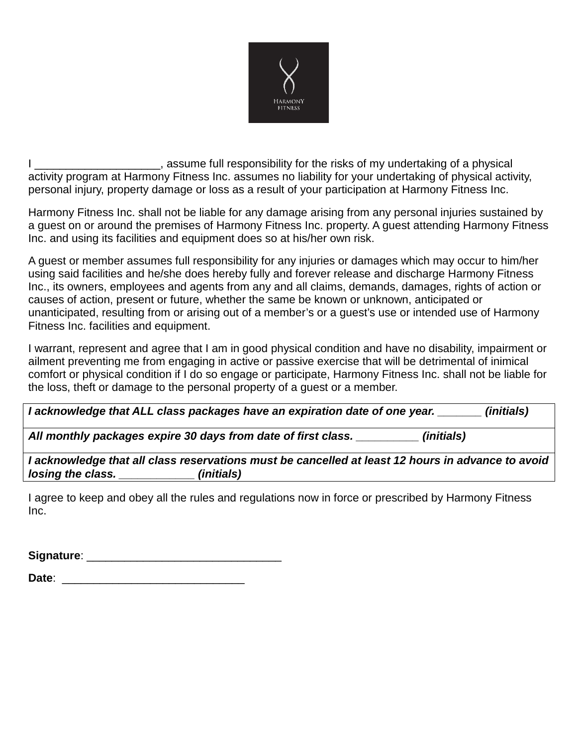

I \_\_\_\_\_\_\_\_\_\_\_\_\_\_\_\_\_\_\_\_\_\_\_, assume full responsibility for the risks of my undertaking of a physical activity program at Harmony Fitness Inc. assumes no liability for your undertaking of physical activity, personal injury, property damage or loss as a result of your participation at Harmony Fitness Inc.

Harmony Fitness Inc. shall not be liable for any damage arising from any personal injuries sustained by a guest on or around the premises of Harmony Fitness Inc. property. A guest attending Harmony Fitness Inc. and using its facilities and equipment does so at his/her own risk.

A guest or member assumes full responsibility for any injuries or damages which may occur to him/her using said facilities and he/she does hereby fully and forever release and discharge Harmony Fitness Inc., its owners, employees and agents from any and all claims, demands, damages, rights of action or causes of action, present or future, whether the same be known or unknown, anticipated or unanticipated, resulting from or arising out of a member's or a guest's use or intended use of Harmony Fitness Inc. facilities and equipment.

I warrant, represent and agree that I am in good physical condition and have no disability, impairment or ailment preventing me from engaging in active or passive exercise that will be detrimental of inimical comfort or physical condition if I do so engage or participate, Harmony Fitness Inc. shall not be liable for the loss, theft or damage to the personal property of a guest or a member.

*I acknowledge that ALL class packages have an expiration date of one year. \_\_\_\_\_\_\_ (initials)*

*All monthly packages expire 30 days from date of first class. \_\_\_\_\_\_\_\_\_\_ (initials)*

*I acknowledge that all class reservations must be cancelled at least 12 hours in advance to avoid losing the class. \_\_\_\_\_\_\_\_\_\_\_\_ (initials)* 

I agree to keep and obey all the rules and regulations now in force or prescribed by Harmony Fitness Inc.

| Signature: |  |  |
|------------|--|--|
|            |  |  |

**Date**: \_\_\_\_\_\_\_\_\_\_\_\_\_\_\_\_\_\_\_\_\_\_\_\_\_\_\_\_\_